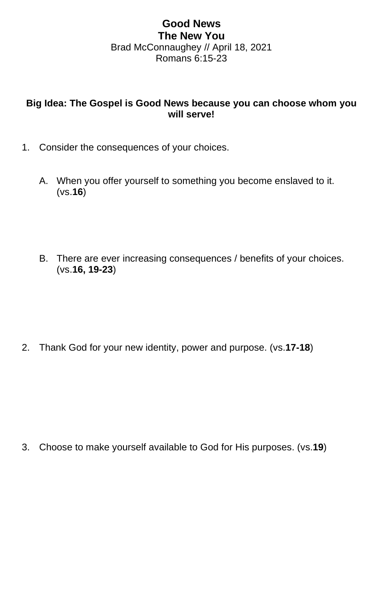## **Good News The New You** Brad McConnaughey // April 18, 2021 Romans 6:15-23

## **Big Idea: The Gospel is Good News because you can choose whom you will serve!**

- 1. Consider the consequences of your choices.
	- A. When you offer yourself to something you become enslaved to it. (vs.**16**)
	- B. There are ever increasing consequences / benefits of your choices. (vs.**16, 19-23**)

2. Thank God for your new identity, power and purpose. (vs.**17-18**)

3. Choose to make yourself available to God for His purposes. (vs.**19**)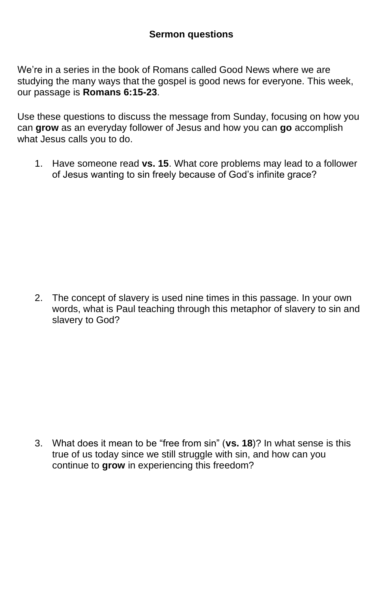We're in a series in the book of Romans called Good News where we are studying the many ways that the gospel is good news for everyone. This week, our passage is **Romans 6:15-23**.

Use these questions to discuss the message from Sunday, focusing on how you can **grow** as an everyday follower of Jesus and how you can **go** accomplish what Jesus calls you to do.

1. Have someone read **vs. 15**. What core problems may lead to a follower of Jesus wanting to sin freely because of God's infinite grace?

2. The concept of slavery is used nine times in this passage. In your own words, what is Paul teaching through this metaphor of slavery to sin and slavery to God?

3. What does it mean to be "free from sin" (**vs. 18**)? In what sense is this true of us today since we still struggle with sin, and how can you continue to **grow** in experiencing this freedom?